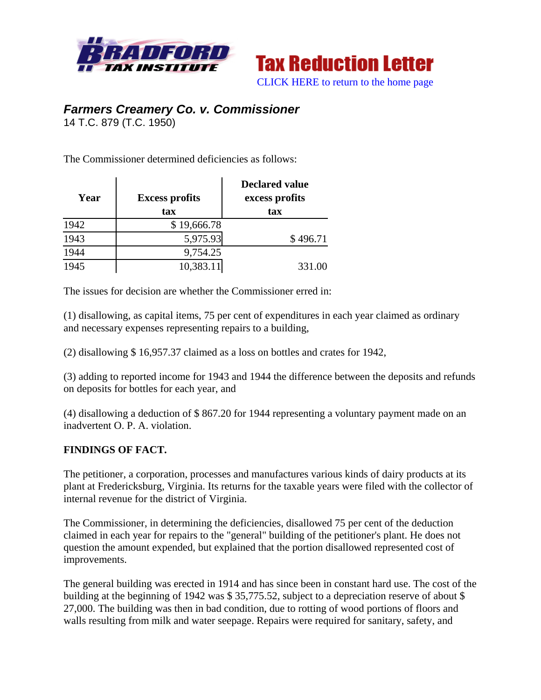



## *Farmers Creamery Co. v. Commissioner*

14 T.C. 879 (T.C. 1950)

The Commissioner determined deficiencies as follows:

| Year | <b>Excess profits</b><br>tax | <b>Declared value</b><br>excess profits<br>tax |  |
|------|------------------------------|------------------------------------------------|--|
| 1942 | \$19,666.78                  |                                                |  |
| 1943 | 5,975.93                     | \$496.71                                       |  |
| 1944 | 9,754.25                     |                                                |  |
| 1945 | 10,383.11                    | 331.00                                         |  |

The issues for decision are whether the Commissioner erred in:

(1) disallowing, as capital items, 75 per cent of expenditures in each year claimed as ordinary and necessary expenses representing repairs to a building,

(2) disallowing \$ 16,957.37 claimed as a loss on bottles and crates for 1942,

(3) adding to reported income for 1943 and 1944 the difference between the deposits and refunds on deposits for bottles for each year, and

(4) disallowing a deduction of \$ 867.20 for 1944 representing a voluntary payment made on an inadvertent O. P. A. violation.

## **FINDINGS OF FACT.**

The petitioner, a corporation, processes and manufactures various kinds of dairy products at its plant at Fredericksburg, Virginia. Its returns for the taxable years were filed with the collector of internal revenue for the district of Virginia.

The Commissioner, in determining the deficiencies, disallowed 75 per cent of the deduction claimed in each year for repairs to the "general" building of the petitioner's plant. He does not question the amount expended, but explained that the portion disallowed represented cost of improvements.

The general building was erected in 1914 and has since been in constant hard use. The cost of the building at the beginning of 1942 was \$ 35,775.52, subject to a depreciation reserve of about \$ 27,000. The building was then in bad condition, due to rotting of wood portions of floors and walls resulting from milk and water seepage. Repairs were required for sanitary, safety, and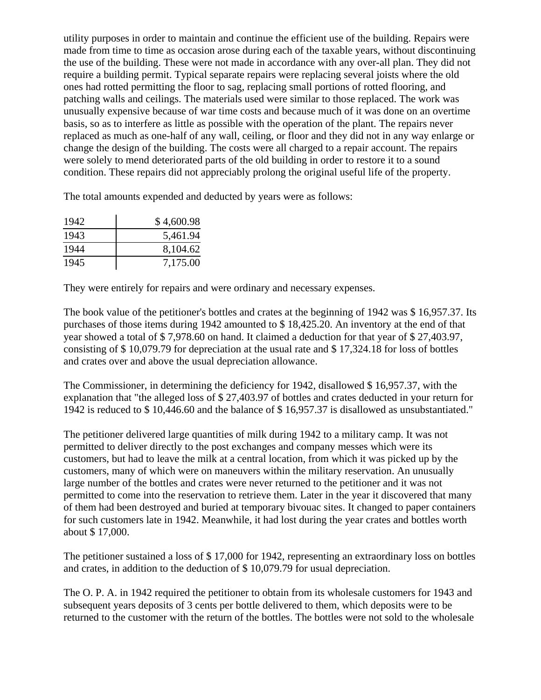utility purposes in order to maintain and continue the efficient use of the building. Repairs were made from time to time as occasion arose during each of the taxable years, without discontinuing the use of the building. These were not made in accordance with any over-all plan. They did not require a building permit. Typical separate repairs were replacing several joists where the old ones had rotted permitting the floor to sag, replacing small portions of rotted flooring, and patching walls and ceilings. The materials used were similar to those replaced. The work was unusually expensive because of war time costs and because much of it was done on an overtime basis, so as to interfere as little as possible with the operation of the plant. The repairs never replaced as much as one-half of any wall, ceiling, or floor and they did not in any way enlarge or change the design of the building. The costs were all charged to a repair account. The repairs were solely to mend deteriorated parts of the old building in order to restore it to a sound condition. These repairs did not appreciably prolong the original useful life of the property.

The total amounts expended and deducted by years were as follows:

| 1942 | \$4,600.98 |
|------|------------|
| 1943 | 5,461.94   |
| 1944 | 8,104.62   |
| 1945 | 7,175.00   |

They were entirely for repairs and were ordinary and necessary expenses.

The book value of the petitioner's bottles and crates at the beginning of 1942 was \$ 16,957.37. Its purchases of those items during 1942 amounted to \$ 18,425.20. An inventory at the end of that year showed a total of \$ 7,978.60 on hand. It claimed a deduction for that year of \$ 27,403.97, consisting of \$ 10,079.79 for depreciation at the usual rate and \$ 17,324.18 for loss of bottles and crates over and above the usual depreciation allowance.

The Commissioner, in determining the deficiency for 1942, disallowed \$ 16,957.37, with the explanation that "the alleged loss of \$ 27,403.97 of bottles and crates deducted in your return for 1942 is reduced to \$ 10,446.60 and the balance of \$ 16,957.37 is disallowed as unsubstantiated."

The petitioner delivered large quantities of milk during 1942 to a military camp. It was not permitted to deliver directly to the post exchanges and company messes which were its customers, but had to leave the milk at a central location, from which it was picked up by the customers, many of which were on maneuvers within the military reservation. An unusually large number of the bottles and crates were never returned to the petitioner and it was not permitted to come into the reservation to retrieve them. Later in the year it discovered that many of them had been destroyed and buried at temporary bivouac sites. It changed to paper containers for such customers late in 1942. Meanwhile, it had lost during the year crates and bottles worth about \$ 17,000.

The petitioner sustained a loss of \$ 17,000 for 1942, representing an extraordinary loss on bottles and crates, in addition to the deduction of \$ 10,079.79 for usual depreciation.

The O. P. A. in 1942 required the petitioner to obtain from its wholesale customers for 1943 and subsequent years deposits of 3 cents per bottle delivered to them, which deposits were to be returned to the customer with the return of the bottles. The bottles were not sold to the wholesale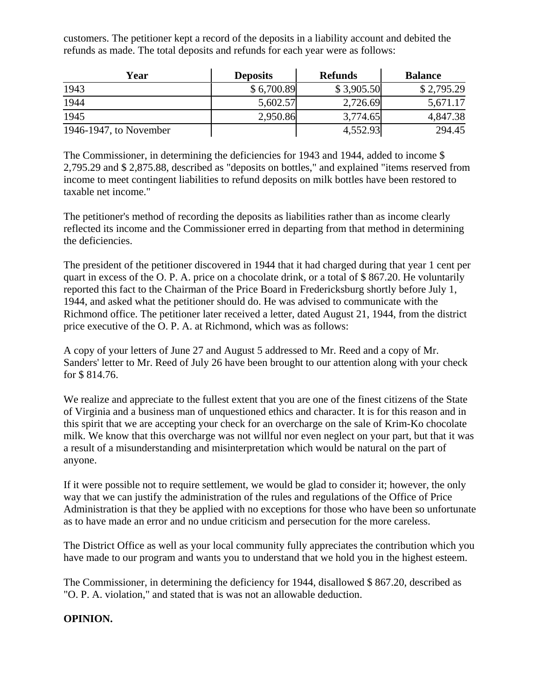customers. The petitioner kept a record of the deposits in a liability account and debited the refunds as made. The total deposits and refunds for each year were as follows:

| Year                   | <b>Deposits</b> | <b>Refunds</b> | <b>Balance</b> |
|------------------------|-----------------|----------------|----------------|
| 1943                   | \$6,700.89      | \$3,905.50     | \$2,795.29     |
| 1944                   | 5,602.57        | 2,726.69       | 5,671.17       |
| 1945                   | 2,950.86        | 3,774.65       | 4,847.38       |
| 1946-1947, to November |                 | 4,552.93       | 294.45         |

The Commissioner, in determining the deficiencies for 1943 and 1944, added to income \$ 2,795.29 and \$ 2,875.88, described as "deposits on bottles," and explained "items reserved from income to meet contingent liabilities to refund deposits on milk bottles have been restored to taxable net income."

The petitioner's method of recording the deposits as liabilities rather than as income clearly reflected its income and the Commissioner erred in departing from that method in determining the deficiencies.

The president of the petitioner discovered in 1944 that it had charged during that year 1 cent per quart in excess of the O. P. A. price on a chocolate drink, or a total of \$ 867.20. He voluntarily reported this fact to the Chairman of the Price Board in Fredericksburg shortly before July 1, 1944, and asked what the petitioner should do. He was advised to communicate with the Richmond office. The petitioner later received a letter, dated August 21, 1944, from the district price executive of the O. P. A. at Richmond, which was as follows:

A copy of your letters of June 27 and August 5 addressed to Mr. Reed and a copy of Mr. Sanders' letter to Mr. Reed of July 26 have been brought to our attention along with your check for \$ 814.76.

We realize and appreciate to the fullest extent that you are one of the finest citizens of the State of Virginia and a business man of unquestioned ethics and character. It is for this reason and in this spirit that we are accepting your check for an overcharge on the sale of Krim-Ko chocolate milk. We know that this overcharge was not willful nor even neglect on your part, but that it was a result of a misunderstanding and misinterpretation which would be natural on the part of anyone.

If it were possible not to require settlement, we would be glad to consider it; however, the only way that we can justify the administration of the rules and regulations of the Office of Price Administration is that they be applied with no exceptions for those who have been so unfortunate as to have made an error and no undue criticism and persecution for the more careless.

The District Office as well as your local community fully appreciates the contribution which you have made to our program and wants you to understand that we hold you in the highest esteem.

The Commissioner, in determining the deficiency for 1944, disallowed \$ 867.20, described as "O. P. A. violation," and stated that is was not an allowable deduction.

## **OPINION.**